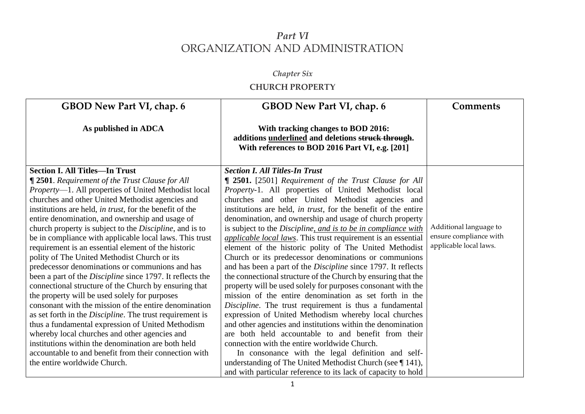## *Part VI* ORGANIZATION AND ADMINISTRATION

## *Chapter Six* **CHURCH PROPERTY**

| GBOD New Part VI, chap. 6                                                                                                                   | <b>Comments</b>                                                                                                                                                                                                                                                                                                                                                                                                                                                                                                                                                                                                                                                                                                                                                                                                                                                                                                                                                                                                                                                                                                                                                                                |
|---------------------------------------------------------------------------------------------------------------------------------------------|------------------------------------------------------------------------------------------------------------------------------------------------------------------------------------------------------------------------------------------------------------------------------------------------------------------------------------------------------------------------------------------------------------------------------------------------------------------------------------------------------------------------------------------------------------------------------------------------------------------------------------------------------------------------------------------------------------------------------------------------------------------------------------------------------------------------------------------------------------------------------------------------------------------------------------------------------------------------------------------------------------------------------------------------------------------------------------------------------------------------------------------------------------------------------------------------|
| With tracking changes to BOD 2016:<br>additions underlined and deletions struck through.<br>With references to BOD 2016 Part VI, e.g. [201] |                                                                                                                                                                                                                                                                                                                                                                                                                                                                                                                                                                                                                                                                                                                                                                                                                                                                                                                                                                                                                                                                                                                                                                                                |
| <b>Section I. All Titles-In Trust</b>                                                                                                       |                                                                                                                                                                                                                                                                                                                                                                                                                                                                                                                                                                                                                                                                                                                                                                                                                                                                                                                                                                                                                                                                                                                                                                                                |
| <b>[ 2501.</b> [2501] Requirement of the Trust Clause for All                                                                               |                                                                                                                                                                                                                                                                                                                                                                                                                                                                                                                                                                                                                                                                                                                                                                                                                                                                                                                                                                                                                                                                                                                                                                                                |
| <i>Property-1.</i> All properties of United Methodist local                                                                                 |                                                                                                                                                                                                                                                                                                                                                                                                                                                                                                                                                                                                                                                                                                                                                                                                                                                                                                                                                                                                                                                                                                                                                                                                |
|                                                                                                                                             |                                                                                                                                                                                                                                                                                                                                                                                                                                                                                                                                                                                                                                                                                                                                                                                                                                                                                                                                                                                                                                                                                                                                                                                                |
|                                                                                                                                             |                                                                                                                                                                                                                                                                                                                                                                                                                                                                                                                                                                                                                                                                                                                                                                                                                                                                                                                                                                                                                                                                                                                                                                                                |
|                                                                                                                                             |                                                                                                                                                                                                                                                                                                                                                                                                                                                                                                                                                                                                                                                                                                                                                                                                                                                                                                                                                                                                                                                                                                                                                                                                |
|                                                                                                                                             | Additional language to                                                                                                                                                                                                                                                                                                                                                                                                                                                                                                                                                                                                                                                                                                                                                                                                                                                                                                                                                                                                                                                                                                                                                                         |
|                                                                                                                                             | ensure compliance with                                                                                                                                                                                                                                                                                                                                                                                                                                                                                                                                                                                                                                                                                                                                                                                                                                                                                                                                                                                                                                                                                                                                                                         |
|                                                                                                                                             | applicable local laws.                                                                                                                                                                                                                                                                                                                                                                                                                                                                                                                                                                                                                                                                                                                                                                                                                                                                                                                                                                                                                                                                                                                                                                         |
|                                                                                                                                             |                                                                                                                                                                                                                                                                                                                                                                                                                                                                                                                                                                                                                                                                                                                                                                                                                                                                                                                                                                                                                                                                                                                                                                                                |
|                                                                                                                                             |                                                                                                                                                                                                                                                                                                                                                                                                                                                                                                                                                                                                                                                                                                                                                                                                                                                                                                                                                                                                                                                                                                                                                                                                |
|                                                                                                                                             |                                                                                                                                                                                                                                                                                                                                                                                                                                                                                                                                                                                                                                                                                                                                                                                                                                                                                                                                                                                                                                                                                                                                                                                                |
|                                                                                                                                             |                                                                                                                                                                                                                                                                                                                                                                                                                                                                                                                                                                                                                                                                                                                                                                                                                                                                                                                                                                                                                                                                                                                                                                                                |
|                                                                                                                                             |                                                                                                                                                                                                                                                                                                                                                                                                                                                                                                                                                                                                                                                                                                                                                                                                                                                                                                                                                                                                                                                                                                                                                                                                |
|                                                                                                                                             |                                                                                                                                                                                                                                                                                                                                                                                                                                                                                                                                                                                                                                                                                                                                                                                                                                                                                                                                                                                                                                                                                                                                                                                                |
|                                                                                                                                             |                                                                                                                                                                                                                                                                                                                                                                                                                                                                                                                                                                                                                                                                                                                                                                                                                                                                                                                                                                                                                                                                                                                                                                                                |
|                                                                                                                                             |                                                                                                                                                                                                                                                                                                                                                                                                                                                                                                                                                                                                                                                                                                                                                                                                                                                                                                                                                                                                                                                                                                                                                                                                |
|                                                                                                                                             |                                                                                                                                                                                                                                                                                                                                                                                                                                                                                                                                                                                                                                                                                                                                                                                                                                                                                                                                                                                                                                                                                                                                                                                                |
|                                                                                                                                             |                                                                                                                                                                                                                                                                                                                                                                                                                                                                                                                                                                                                                                                                                                                                                                                                                                                                                                                                                                                                                                                                                                                                                                                                |
|                                                                                                                                             |                                                                                                                                                                                                                                                                                                                                                                                                                                                                                                                                                                                                                                                                                                                                                                                                                                                                                                                                                                                                                                                                                                                                                                                                |
|                                                                                                                                             |                                                                                                                                                                                                                                                                                                                                                                                                                                                                                                                                                                                                                                                                                                                                                                                                                                                                                                                                                                                                                                                                                                                                                                                                |
|                                                                                                                                             | churches and other United Methodist agencies and<br>institutions are held, in trust, for the benefit of the entire<br>denomination, and ownership and usage of church property<br>is subject to the Discipline, and is to be in compliance with<br><i>applicable local laws</i> . This trust requirement is an essential<br>element of the historic polity of The United Methodist<br>Church or its predecessor denominations or communions<br>and has been a part of the <i>Discipline</i> since 1797. It reflects<br>the connectional structure of the Church by ensuring that the<br>property will be used solely for purposes consonant with the<br>mission of the entire denomination as set forth in the<br>Discipline. The trust requirement is thus a fundamental<br>expression of United Methodism whereby local churches<br>and other agencies and institutions within the denomination<br>are both held accountable to and benefit from their<br>connection with the entire worldwide Church.<br>In consonance with the legal definition and self-<br>understanding of The United Methodist Church (see $\P$ 141),<br>and with particular reference to its lack of capacity to hold |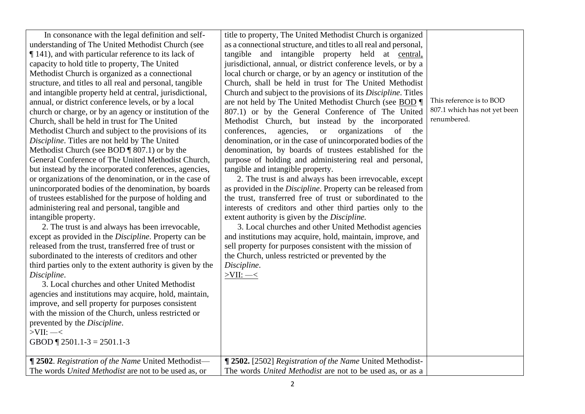| In consonance with the legal definition and self-                                                                                                                                                                                                                                                                                                                                                                                                                                                                                                                                                                                                                                                                                                                                                                                                                                                                                                                                                                                                                                                                                                                                                                                                                                                                                                                                                                                                                                                                                                                                                                                                                                                                                    | title to property, The United Methodist Church is organized                                                                                                                                                                                                                                                                                                                                                                                                                                                                                                                                                                                                                                                                                                                                                                                                                                                                                                                                                                                                                                                                                                                                                                                                                                                                                                                                                                                                                                 |                                                                         |
|--------------------------------------------------------------------------------------------------------------------------------------------------------------------------------------------------------------------------------------------------------------------------------------------------------------------------------------------------------------------------------------------------------------------------------------------------------------------------------------------------------------------------------------------------------------------------------------------------------------------------------------------------------------------------------------------------------------------------------------------------------------------------------------------------------------------------------------------------------------------------------------------------------------------------------------------------------------------------------------------------------------------------------------------------------------------------------------------------------------------------------------------------------------------------------------------------------------------------------------------------------------------------------------------------------------------------------------------------------------------------------------------------------------------------------------------------------------------------------------------------------------------------------------------------------------------------------------------------------------------------------------------------------------------------------------------------------------------------------------|---------------------------------------------------------------------------------------------------------------------------------------------------------------------------------------------------------------------------------------------------------------------------------------------------------------------------------------------------------------------------------------------------------------------------------------------------------------------------------------------------------------------------------------------------------------------------------------------------------------------------------------------------------------------------------------------------------------------------------------------------------------------------------------------------------------------------------------------------------------------------------------------------------------------------------------------------------------------------------------------------------------------------------------------------------------------------------------------------------------------------------------------------------------------------------------------------------------------------------------------------------------------------------------------------------------------------------------------------------------------------------------------------------------------------------------------------------------------------------------------|-------------------------------------------------------------------------|
| understanding of The United Methodist Church (see<br>$\P$ 141), and with particular reference to its lack of<br>capacity to hold title to property, The United<br>Methodist Church is organized as a connectional<br>structure, and titles to all real and personal, tangible<br>and intangible property held at central, jurisdictional,<br>annual, or district conference levels, or by a local<br>church or charge, or by an agency or institution of the<br>Church, shall be held in trust for The United<br>Methodist Church and subject to the provisions of its<br>Discipline. Titles are not held by The United<br>Methodist Church (see BOD $\P$ 807.1) or by the<br>General Conference of The United Methodist Church,<br>but instead by the incorporated conferences, agencies,<br>or organizations of the denomination, or in the case of<br>unincorporated bodies of the denomination, by boards<br>of trustees established for the purpose of holding and<br>administering real and personal, tangible and<br>intangible property.<br>2. The trust is and always has been irrevocable,<br>except as provided in the <i>Discipline</i> . Property can be<br>released from the trust, transferred free of trust or<br>subordinated to the interests of creditors and other<br>third parties only to the extent authority is given by the<br>Discipline.<br>3. Local churches and other United Methodist<br>agencies and institutions may acquire, hold, maintain,<br>improve, and sell property for purposes consistent<br>with the mission of the Church, unless restricted or<br>prevented by the Discipline.<br>$>$ VII: $-$ <<br>GBOD $\P$ 2501.1-3 = 2501.1-3<br>¶ 2502. Registration of the Name United Methodist- | as a connectional structure, and titles to all real and personal,<br>tangible and intangible property held at central,<br>jurisdictional, annual, or district conference levels, or by a<br>local church or charge, or by an agency or institution of the<br>Church, shall be held in trust for The United Methodist<br>Church and subject to the provisions of its Discipline. Titles<br>are not held by The United Methodist Church (see BOD<br>807.1) or by the General Conference of The United<br>Methodist Church, but instead by the incorporated<br>conferences,<br>agencies,<br>or organizations<br>of the<br>denomination, or in the case of unincorporated bodies of the<br>denomination, by boards of trustees established for the<br>purpose of holding and administering real and personal,<br>tangible and intangible property.<br>2. The trust is and always has been irrevocable, except<br>as provided in the Discipline. Property can be released from<br>the trust, transferred free of trust or subordinated to the<br>interests of creditors and other third parties only to the<br>extent authority is given by the Discipline.<br>3. Local churches and other United Methodist agencies<br>and institutions may acquire, hold, maintain, improve, and<br>sell property for purposes consistent with the mission of<br>the Church, unless restricted or prevented by the<br>Discipline.<br>$>$ VII: $-$<br>¶ 2502. [2502] Registration of the Name United Methodist- | This reference is to BOD<br>807.1 which has not yet been<br>renumbered. |
| The words United Methodist are not to be used as, or                                                                                                                                                                                                                                                                                                                                                                                                                                                                                                                                                                                                                                                                                                                                                                                                                                                                                                                                                                                                                                                                                                                                                                                                                                                                                                                                                                                                                                                                                                                                                                                                                                                                                 | The words United Methodist are not to be used as, or as a                                                                                                                                                                                                                                                                                                                                                                                                                                                                                                                                                                                                                                                                                                                                                                                                                                                                                                                                                                                                                                                                                                                                                                                                                                                                                                                                                                                                                                   |                                                                         |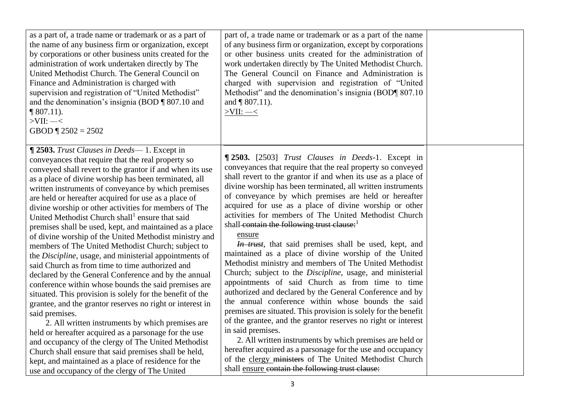| as a part of, a trade name or trademark or as a part of<br>the name of any business firm or organization, except<br>by corporations or other business units created for the<br>administration of work undertaken directly by The<br>United Methodist Church. The General Council on<br>Finance and Administration is charged with<br>supervision and registration of "United Methodist"<br>and the denomination's insignia (BOD ¶ 807.10 and<br>$\P$ 807.11).<br>$>$ VII: $-$ <<br>GBOD $\P$ 2502 = 2502                                                                                                                                                                                                                                                                                                                                                                                                                                                                                                                                                                                                                                                                                                                                                                                                                                                | part of, a trade name or trademark or as a part of the name<br>of any business firm or organization, except by corporations<br>or other business units created for the administration of<br>work undertaken directly by The United Methodist Church.<br>The General Council on Finance and Administration is<br>charged with supervision and registration of "United<br>Methodist" and the denomination's insignia (BOD¶ 807.10<br>and $\P$ 807.11).<br>$>$ VII: $-$ <                                                                                                                                                                                                                                                                                                                                                                                                                                                                                                                                                                                                                                                                                                                                                                                                                                             |  |
|---------------------------------------------------------------------------------------------------------------------------------------------------------------------------------------------------------------------------------------------------------------------------------------------------------------------------------------------------------------------------------------------------------------------------------------------------------------------------------------------------------------------------------------------------------------------------------------------------------------------------------------------------------------------------------------------------------------------------------------------------------------------------------------------------------------------------------------------------------------------------------------------------------------------------------------------------------------------------------------------------------------------------------------------------------------------------------------------------------------------------------------------------------------------------------------------------------------------------------------------------------------------------------------------------------------------------------------------------------|--------------------------------------------------------------------------------------------------------------------------------------------------------------------------------------------------------------------------------------------------------------------------------------------------------------------------------------------------------------------------------------------------------------------------------------------------------------------------------------------------------------------------------------------------------------------------------------------------------------------------------------------------------------------------------------------------------------------------------------------------------------------------------------------------------------------------------------------------------------------------------------------------------------------------------------------------------------------------------------------------------------------------------------------------------------------------------------------------------------------------------------------------------------------------------------------------------------------------------------------------------------------------------------------------------------------|--|
| ¶ 2503. Trust Clauses in Deeds—1. Except in<br>conveyances that require that the real property so<br>conveyed shall revert to the grantor if and when its use<br>as a place of divine worship has been terminated, all<br>written instruments of conveyance by which premises<br>are held or hereafter acquired for use as a place of<br>divine worship or other activities for members of The<br>United Methodist Church shall <sup>1</sup> ensure that said<br>premises shall be used, kept, and maintained as a place<br>of divine worship of the United Methodist ministry and<br>members of The United Methodist Church; subject to<br>the Discipline, usage, and ministerial appointments of<br>said Church as from time to time authorized and<br>declared by the General Conference and by the annual<br>conference within whose bounds the said premises are<br>situated. This provision is solely for the benefit of the<br>grantee, and the grantor reserves no right or interest in<br>said premises.<br>2. All written instruments by which premises are<br>held or hereafter acquired as a parsonage for the use<br>and occupancy of the clergy of The United Methodist<br>Church shall ensure that said premises shall be held,<br>kept, and maintained as a place of residence for the<br>use and occupancy of the clergy of The United | ¶ 2503. [2503] Trust Clauses in Deeds-1. Except in<br>conveyances that require that the real property so conveyed<br>shall revert to the grantor if and when its use as a place of<br>divine worship has been terminated, all written instruments<br>of conveyance by which premises are held or hereafter<br>acquired for use as a place of divine worship or other<br>activities for members of The United Methodist Church<br>shall contain the following trust clause: <sup>1</sup><br>ensure<br>In trust, that said premises shall be used, kept, and<br>maintained as a place of divine worship of the United<br>Methodist ministry and members of The United Methodist<br>Church; subject to the Discipline, usage, and ministerial<br>appointments of said Church as from time to time<br>authorized and declared by the General Conference and by<br>the annual conference within whose bounds the said<br>premises are situated. This provision is solely for the benefit<br>of the grantee, and the grantor reserves no right or interest<br>in said premises.<br>2. All written instruments by which premises are held or<br>hereafter acquired as a parsonage for the use and occupancy<br>of the clergy ministers of The United Methodist Church<br>shall ensure contain the following trust clause: |  |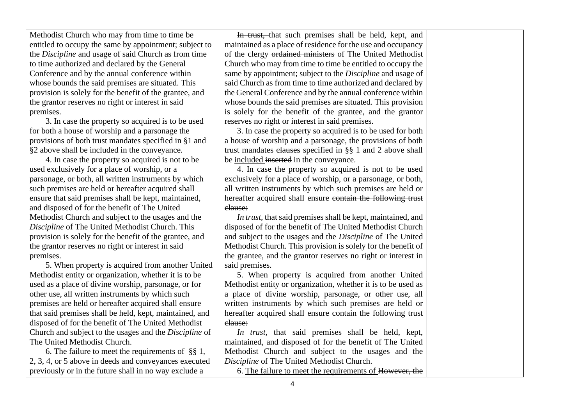Methodist Church who may from time to time be entitled to occupy the same by appointment; subject to the *Discipline* and usage of said Church as from time to time authorized and declared by the General Conference and by the annual conference within whose bounds the said premises are situated. This provision is solely for the benefit of the grantee, and the grantor reserves no right or interest in said premises.

3. In case the property so acquired is to be used for both a house of worship and a parsonage the provisions of both trust mandates specified in §1 and §2 above shall be included in the conveyance.

4. In case the property so acquired is not to be used exclusively for a place of worship, or a parsonage, or both, all written instruments by which such premises are held or hereafter acquired shall ensure that said premises shall be kept, maintained, and disposed of for the benefit of The United Methodist Church and subject to the usages and the *Discipline* of The United Methodist Church. This provision is solely for the benefit of the grantee, and the grantor reserves no right or interest in said premises.

5. When property is acquired from another United Methodist entity or organization, whether it is to be used as a place of divine worship, parsonage, or for other use, all written instruments by which such premises are held or hereafter acquired shall ensure that said premises shall be held, kept, maintained, and disposed of for the benefit of The United Methodist Church and subject to the usages and the *Discipline* of The United Methodist Church.

6. The failure to meet the requirements of §§ 1, 2, 3, 4, or 5 above in deeds and conveyances executed previously or in the future shall in no way exclude a

In trust, that such premises shall be held, kept, and maintained as a place of residence for the use and occupancy of the clergy ordained ministers of The United Methodist Church who may from time to time be entitled to occupy the same by appointment; subject to the *Discipline* and usage of said Church as from time to time authorized and declared by the General Conference and by the annual conference within whose bounds the said premises are situated. This provision is solely for the benefit of the grantee, and the grantor reserves no right or interest in said premises.

3. In case the property so acquired is to be used for both a house of worship and a parsonage, the provisions of both trust mandates clauses specified in §§ 1 and 2 above shall be included inserted in the conveyance.

4. In case the property so acquired is not to be used exclusively for a place of worship, or a parsonage, or both, all written instruments by which such premises are held or hereafter acquired shall ensure contain the following trust clause:

*In trust,* that said premises shall be kept, maintained, and disposed of for the benefit of The United Methodist Church and subject to the usages and the *Discipline* of The United Methodist Church. This provision is solely for the benefit of the grantee, and the grantor reserves no right or interest in said premises.

5. When property is acquired from another United Methodist entity or organization, whether it is to be used as a place of divine worship, parsonage, or other use, all written instruments by which such premises are held or hereafter acquired shall ensure contain the following trust clause:

*In trust,* that said premises shall be held, kept, maintained, and disposed of for the benefit of The United Methodist Church and subject to the usages and the *Discipline* of The United Methodist Church.

6. The failure to meet the requirements of However, the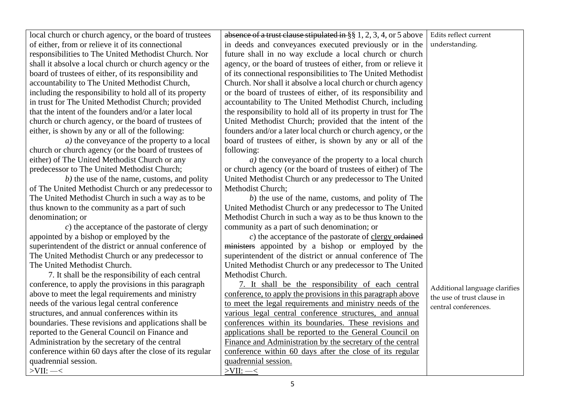| local church or church agency, or the board of trustees  | absence of a trust clause stipulated in $\S$ § 1, 2, 3, 4, or 5 above | Edits reflect current         |
|----------------------------------------------------------|-----------------------------------------------------------------------|-------------------------------|
| of either, from or relieve it of its connectional        | in deeds and conveyances executed previously or in the                | understanding.                |
| responsibilities to The United Methodist Church. Nor     | future shall in no way exclude a local church or church               |                               |
| shall it absolve a local church or church agency or the  | agency, or the board of trustees of either, from or relieve it        |                               |
| board of trustees of either, of its responsibility and   | of its connectional responsibilities to The United Methodist          |                               |
| accountability to The United Methodist Church,           | Church. Nor shall it absolve a local church or church agency          |                               |
| including the responsibility to hold all of its property | or the board of trustees of either, of its responsibility and         |                               |
| in trust for The United Methodist Church; provided       | accountability to The United Methodist Church, including              |                               |
| that the intent of the founders and/or a later local     | the responsibility to hold all of its property in trust for The       |                               |
| church or church agency, or the board of trustees of     | United Methodist Church; provided that the intent of the              |                               |
| either, is shown by any or all of the following:         | founders and/or a later local church or church agency, or the         |                               |
| <i>a</i> ) the conveyance of the property to a local     | board of trustees of either, is shown by any or all of the            |                               |
| church or church agency (or the board of trustees of     | following:                                                            |                               |
| either) of The United Methodist Church or any            | <i>a</i> ) the conveyance of the property to a local church           |                               |
| predecessor to The United Methodist Church;              | or church agency (or the board of trustees of either) of The          |                               |
| $b$ ) the use of the name, customs, and polity           | United Methodist Church or any predecessor to The United              |                               |
| of The United Methodist Church or any predecessor to     | Methodist Church;                                                     |                               |
| The United Methodist Church in such a way as to be       | $b$ ) the use of the name, customs, and polity of The                 |                               |
| thus known to the community as a part of such            | United Methodist Church or any predecessor to The United              |                               |
| denomination; or                                         | Methodist Church in such a way as to be thus known to the             |                               |
| $c$ ) the acceptance of the pastorate of clergy          | community as a part of such denomination; or                          |                               |
| appointed by a bishop or employed by the                 | $c$ ) the acceptance of the pastorate of clergy ordained              |                               |
| superintendent of the district or annual conference of   | ministers appointed by a bishop or employed by the                    |                               |
| The United Methodist Church or any predecessor to        | superintendent of the district or annual conference of The            |                               |
| The United Methodist Church.                             | United Methodist Church or any predecessor to The United              |                               |
| 7. It shall be the responsibility of each central        | Methodist Church.                                                     |                               |
| conference, to apply the provisions in this paragraph    | 7. It shall be the responsibility of each central                     | Additional language clarifies |
| above to meet the legal requirements and ministry        | conference, to apply the provisions in this paragraph above           | the use of trust clause in    |
| needs of the various legal central conference            | to meet the legal requirements and ministry needs of the              | central conferences.          |
| structures, and annual conferences within its            | various legal central conference structures, and annual               |                               |
| boundaries. These revisions and applications shall be    | conferences within its boundaries. These revisions and                |                               |
| reported to the General Council on Finance and           | applications shall be reported to the General Council on              |                               |
| Administration by the secretary of the central           | Finance and Administration by the secretary of the central            |                               |
| conference within 60 days after the close of its regular | conference within 60 days after the close of its regular              |                               |
| quadrennial session.                                     | quadrennial session.                                                  |                               |
| $>$ VII: $-$ <                                           | $>$ VII: $-$ <                                                        |                               |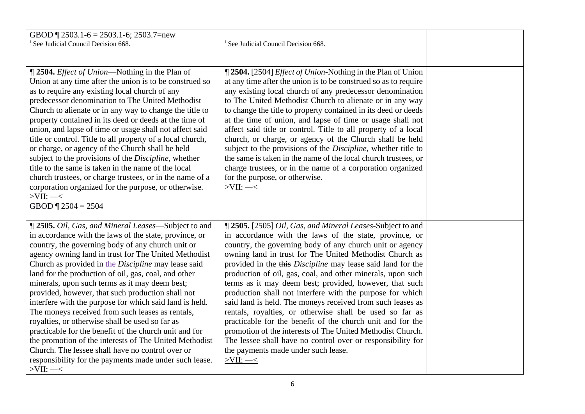| GBOD $\P$ 2503.1-6 = 2503.1-6; 2503.7=new<br><sup>1</sup> See Judicial Council Decision 668.                                                                                                                                                                                                                                                                                                                                                                                                                                                                                                                                                                                                                                                                                                                                                                           | <sup>1</sup> See Judicial Council Decision 668.                                                                                                                                                                                                                                                                                                                                                                                                                                                                                                                                                                                                                                                                                                                                                                                                                                 |  |
|------------------------------------------------------------------------------------------------------------------------------------------------------------------------------------------------------------------------------------------------------------------------------------------------------------------------------------------------------------------------------------------------------------------------------------------------------------------------------------------------------------------------------------------------------------------------------------------------------------------------------------------------------------------------------------------------------------------------------------------------------------------------------------------------------------------------------------------------------------------------|---------------------------------------------------------------------------------------------------------------------------------------------------------------------------------------------------------------------------------------------------------------------------------------------------------------------------------------------------------------------------------------------------------------------------------------------------------------------------------------------------------------------------------------------------------------------------------------------------------------------------------------------------------------------------------------------------------------------------------------------------------------------------------------------------------------------------------------------------------------------------------|--|
| <b>T</b> 2504. <i>Effect of Union</i> —Nothing in the Plan of<br>Union at any time after the union is to be construed so<br>as to require any existing local church of any<br>predecessor denomination to The United Methodist<br>Church to alienate or in any way to change the title to<br>property contained in its deed or deeds at the time of<br>union, and lapse of time or usage shall not affect said<br>title or control. Title to all property of a local church,<br>or charge, or agency of the Church shall be held<br>subject to the provisions of the Discipline, whether<br>title to the same is taken in the name of the local<br>church trustees, or charge trustees, or in the name of a<br>corporation organized for the purpose, or otherwise.<br>$>$ VII: $-$ <<br>GBOD $\P$ 2504 = 2504                                                         | <b>12504.</b> [2504] <i>Effect of Union-Nothing in the Plan of Union</i><br>at any time after the union is to be construed so as to require<br>any existing local church of any predecessor denomination<br>to The United Methodist Church to alienate or in any way<br>to change the title to property contained in its deed or deeds<br>at the time of union, and lapse of time or usage shall not<br>affect said title or control. Title to all property of a local<br>church, or charge, or agency of the Church shall be held<br>subject to the provisions of the Discipline, whether title to<br>the same is taken in the name of the local church trustees, or<br>charge trustees, or in the name of a corporation organized<br>for the purpose, or otherwise.<br>$>$ VII: $-$ <                                                                                         |  |
| ¶ 2505. Oil, Gas, and Mineral Leases—Subject to and<br>in accordance with the laws of the state, province, or<br>country, the governing body of any church unit or<br>agency owning land in trust for The United Methodist<br>Church as provided in the Discipline may lease said<br>land for the production of oil, gas, coal, and other<br>minerals, upon such terms as it may deem best;<br>provided, however, that such production shall not<br>interfere with the purpose for which said land is held.<br>The moneys received from such leases as rentals,<br>royalties, or otherwise shall be used so far as<br>practicable for the benefit of the church unit and for<br>the promotion of the interests of The United Methodist<br>Church. The lessee shall have no control over or<br>responsibility for the payments made under such lease.<br>$>$ VII: $-$ < | ¶ 2505. [2505] Oil, Gas, and Mineral Leases-Subject to and<br>in accordance with the laws of the state, province, or<br>country, the governing body of any church unit or agency<br>owning land in trust for The United Methodist Church as<br>provided in the this Discipline may lease said land for the<br>production of oil, gas, coal, and other minerals, upon such<br>terms as it may deem best; provided, however, that such<br>production shall not interfere with the purpose for which<br>said land is held. The moneys received from such leases as<br>rentals, royalties, or otherwise shall be used so far as<br>practicable for the benefit of the church unit and for the<br>promotion of the interests of The United Methodist Church.<br>The lessee shall have no control over or responsibility for<br>the payments made under such lease.<br>$>$ VII: $-$ < |  |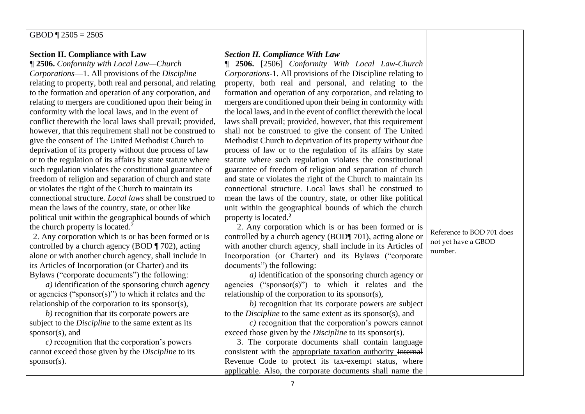| GBOD $\P$ 2505 = 2505                                      |                                                                    |                           |
|------------------------------------------------------------|--------------------------------------------------------------------|---------------------------|
| <b>Section II. Compliance with Law</b>                     | <b>Section II. Compliance With Law</b>                             |                           |
| ¶ 2506. Conformity with Local Law-Church                   | <b>1 2506.</b> [2506] Conformity With Local Law-Church             |                           |
| Corporations-1. All provisions of the Discipline           | Corporations-1. All provisions of the Discipline relating to       |                           |
| relating to property, both real and personal, and relating | property, both real and personal, and relating to the              |                           |
| to the formation and operation of any corporation, and     | formation and operation of any corporation, and relating to        |                           |
| relating to mergers are conditioned upon their being in    | mergers are conditioned upon their being in conformity with        |                           |
| conformity with the local laws, and in the event of        | the local laws, and in the event of conflict therewith the local   |                           |
| conflict therewith the local laws shall prevail; provided, | laws shall prevail; provided, however, that this requirement       |                           |
| however, that this requirement shall not be construed to   | shall not be construed to give the consent of The United           |                           |
| give the consent of The United Methodist Church to         | Methodist Church to deprivation of its property without due        |                           |
| deprivation of its property without due process of law     | process of law or to the regulation of its affairs by state        |                           |
| or to the regulation of its affairs by state statute where | statute where such regulation violates the constitutional          |                           |
| such regulation violates the constitutional guarantee of   | guarantee of freedom of religion and separation of church          |                           |
| freedom of religion and separation of church and state     | and state or violates the right of the Church to maintain its      |                           |
| or violates the right of the Church to maintain its        | connectional structure. Local laws shall be construed to           |                           |
| connectional structure. Local laws shall be construed to   | mean the laws of the country, state, or other like political       |                           |
| mean the laws of the country, state, or other like         | unit within the geographical bounds of which the church            |                           |
| political unit within the geographical bounds of which     | property is located. <sup>2</sup>                                  |                           |
| the church property is located. <sup>2</sup>               | 2. Any corporation which is or has been formed or is               | Reference to BOD 701 does |
| 2. Any corporation which is or has been formed or is       | controlled by a church agency (BOD¶ 701), acting alone or          | not yet have a GBOD       |
| controlled by a church agency (BOD $\P$ 702), acting       | with another church agency, shall include in its Articles of       | number.                   |
| alone or with another church agency, shall include in      | Incorporation (or Charter) and its Bylaws ("corporate              |                           |
| its Articles of Incorporation (or Charter) and its         | documents") the following:                                         |                           |
| Bylaws ("corporate documents") the following:              | $a)$ identification of the sponsoring church agency or             |                           |
| $a)$ identification of the sponsoring church agency        | agencies ("sponsor(s)") to which it relates and the                |                           |
| or agencies ("sponsor(s)") to which it relates and the     | relationship of the corporation to its sponsor(s),                 |                           |
| relationship of the corporation to its sponsor(s),         | $b)$ recognition that its corporate powers are subject             |                           |
| b) recognition that its corporate powers are               | to the <i>Discipline</i> to the same extent as its sponsor(s), and |                           |
| subject to the <i>Discipline</i> to the same extent as its | $c)$ recognition that the corporation's powers cannot              |                           |
| sponsor $(s)$ , and                                        | exceed those given by the <i>Discipline</i> to its sponsor(s).     |                           |
| $c$ ) recognition that the corporation's powers            | 3. The corporate documents shall contain language                  |                           |
| cannot exceed those given by the Discipline to its         | consistent with the appropriate taxation authority Internal        |                           |
| $sponsor(s)$ .                                             | Revenue Code to protect its tax-exempt status, where               |                           |
|                                                            | applicable. Also, the corporate documents shall name the           |                           |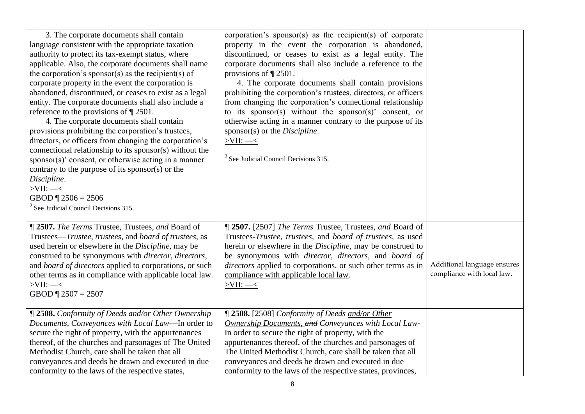| 3. The corporate documents shall contain<br>language consistent with the appropriate taxation<br>authority to protect its tax-exempt status, where<br>applicable. Also, the corporate documents shall name<br>the corporation's sponsor(s) as the recipient(s) of<br>corporate property in the event the corporation is<br>abandoned, discontinued, or ceases to exist as a legal<br>entity. The corporate documents shall also include a<br>reference to the provisions of $\P$ 2501.<br>4. The corporate documents shall contain<br>provisions prohibiting the corporation's trustees,<br>directors, or officers from changing the corporation's<br>connectional relationship to its sponsor(s) without the<br>$sponsor(s)$ ' consent, or otherwise acting in a manner<br>contrary to the purpose of its sponsor(s) or the<br>Discipline.<br>$>$ VII: $-$ <<br>GBOD $\P$ 2506 = 2506<br>$2$ See Judicial Council Decisions 315. | corporation's sponsor(s) as the recipient(s) of corporate<br>property in the event the corporation is abandoned,<br>discontinued, or ceases to exist as a legal entity. The<br>corporate documents shall also include a reference to the<br>provisions of $\P$ 2501.<br>4. The corporate documents shall contain provisions<br>prohibiting the corporation's trustees, directors, or officers<br>from changing the corporation's connectional relationship<br>to its sponsor(s) without the sponsor(s)' consent, or<br>otherwise acting in a manner contrary to the purpose of its<br>sponsor(s) or the <i>Discipline</i> .<br>$>$ VII: $-$ <<br>$2$ See Judicial Council Decisions 315. |                                                           |
|-----------------------------------------------------------------------------------------------------------------------------------------------------------------------------------------------------------------------------------------------------------------------------------------------------------------------------------------------------------------------------------------------------------------------------------------------------------------------------------------------------------------------------------------------------------------------------------------------------------------------------------------------------------------------------------------------------------------------------------------------------------------------------------------------------------------------------------------------------------------------------------------------------------------------------------|------------------------------------------------------------------------------------------------------------------------------------------------------------------------------------------------------------------------------------------------------------------------------------------------------------------------------------------------------------------------------------------------------------------------------------------------------------------------------------------------------------------------------------------------------------------------------------------------------------------------------------------------------------------------------------------|-----------------------------------------------------------|
| ¶ 2507. The Terms Trustee, Trustees, and Board of<br>Trustees-Trustee, trustees, and board of trustees, as<br>used herein or elsewhere in the <i>Discipline</i> , may be<br>construed to be synonymous with <i>director</i> , <i>directors</i> ,<br>and board of directors applied to corporations, or such<br>other terms as in compliance with applicable local law.<br>$>$ VII: $-$ <<br>GBOD $\sqrt{2507} = 2507$                                                                                                                                                                                                                                                                                                                                                                                                                                                                                                             | ¶ 2507. [2507] The Terms Trustee, Trustees, and Board of<br>Trustees-Trustee, trustees, and board of trustees, as used<br>herein or elsewhere in the Discipline, may be construed to<br>be synonymous with director, directors, and board of<br>directors applied to corporations, or such other terms as in<br>compliance with applicable local law.<br>$>$ VII: $-$ <                                                                                                                                                                                                                                                                                                                  | Additional language ensures<br>compliance with local law. |
| ¶ 2508. Conformity of Deeds and/or Other Ownership<br>Documents, Conveyances with Local Law-In order to<br>secure the right of property, with the appurtenances<br>thereof, of the churches and parsonages of The United<br>Methodist Church, care shall be taken that all<br>conveyances and deeds be drawn and executed in due<br>conformity to the laws of the respective states,                                                                                                                                                                                                                                                                                                                                                                                                                                                                                                                                              | ¶ 2508. [2508] Conformity of Deeds and/or Other<br>Ownership Documents, and Conveyances with Local Law-<br>In order to secure the right of property, with the<br>appurtenances thereof, of the churches and parsonages of<br>The United Methodist Church, care shall be taken that all<br>conveyances and deeds be drawn and executed in due<br>conformity to the laws of the respective states, provinces,                                                                                                                                                                                                                                                                              |                                                           |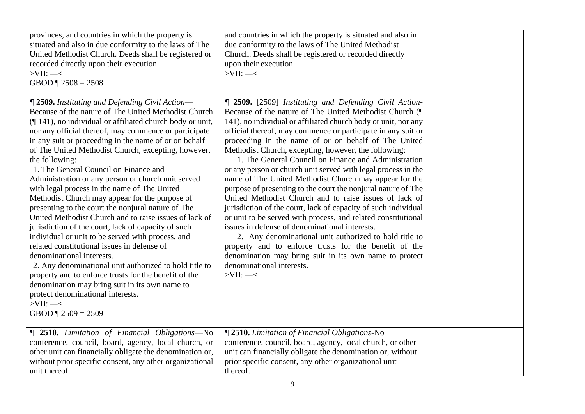| provinces, and countries in which the property is<br>situated and also in due conformity to the laws of The<br>United Methodist Church. Deeds shall be registered or<br>recorded directly upon their execution.<br>$>$ VII: $-$ <<br>GBOD $\P$ 2508 = 2508                                                                                                                                                                                                                                                                                                                                                                                                                                                                                                                                                                                                                                                                                                                                                                                                                                                                  | and countries in which the property is situated and also in<br>due conformity to the laws of The United Methodist<br>Church. Deeds shall be registered or recorded directly<br>upon their execution.<br>$>$ VII: $-$ <                                                                                                                                                                                                                                                                                                                                                                                                                                                                                                                                                                                                                                                                                                                                                                                                                                                                                    |  |
|-----------------------------------------------------------------------------------------------------------------------------------------------------------------------------------------------------------------------------------------------------------------------------------------------------------------------------------------------------------------------------------------------------------------------------------------------------------------------------------------------------------------------------------------------------------------------------------------------------------------------------------------------------------------------------------------------------------------------------------------------------------------------------------------------------------------------------------------------------------------------------------------------------------------------------------------------------------------------------------------------------------------------------------------------------------------------------------------------------------------------------|-----------------------------------------------------------------------------------------------------------------------------------------------------------------------------------------------------------------------------------------------------------------------------------------------------------------------------------------------------------------------------------------------------------------------------------------------------------------------------------------------------------------------------------------------------------------------------------------------------------------------------------------------------------------------------------------------------------------------------------------------------------------------------------------------------------------------------------------------------------------------------------------------------------------------------------------------------------------------------------------------------------------------------------------------------------------------------------------------------------|--|
| ¶ 2509. Instituting and Defending Civil Action-<br>Because of the nature of The United Methodist Church<br>(141), no individual or affiliated church body or unit,<br>nor any official thereof, may commence or participate<br>in any suit or proceeding in the name of or on behalf<br>of The United Methodist Church, excepting, however,<br>the following:<br>1. The General Council on Finance and<br>Administration or any person or church unit served<br>with legal process in the name of The United<br>Methodist Church may appear for the purpose of<br>presenting to the court the nonjural nature of The<br>United Methodist Church and to raise issues of lack of<br>jurisdiction of the court, lack of capacity of such<br>individual or unit to be served with process, and<br>related constitutional issues in defense of<br>denominational interests.<br>2. Any denominational unit authorized to hold title to<br>property and to enforce trusts for the benefit of the<br>denomination may bring suit in its own name to<br>protect denominational interests.<br>$>$ VII: $-$ <<br>GBOD $\P$ 2509 = 2509 | <b>[ 2509.</b> [2509] Instituting and Defending Civil Action-<br>Because of the nature of The United Methodist Church (¶<br>141), no individual or affiliated church body or unit, nor any<br>official thereof, may commence or participate in any suit or<br>proceeding in the name of or on behalf of The United<br>Methodist Church, excepting, however, the following:<br>1. The General Council on Finance and Administration<br>or any person or church unit served with legal process in the<br>name of The United Methodist Church may appear for the<br>purpose of presenting to the court the nonjural nature of The<br>United Methodist Church and to raise issues of lack of<br>jurisdiction of the court, lack of capacity of such individual<br>or unit to be served with process, and related constitutional<br>issues in defense of denominational interests.<br>2. Any denominational unit authorized to hold title to<br>property and to enforce trusts for the benefit of the<br>denomination may bring suit in its own name to protect<br>denominational interests.<br>$>$ VII: $-$ < |  |
| <b>1 2510.</b> Limitation of Financial Obligations-No<br>conference, council, board, agency, local church, or<br>other unit can financially obligate the denomination or,<br>without prior specific consent, any other organizational<br>unit thereof.                                                                                                                                                                                                                                                                                                                                                                                                                                                                                                                                                                                                                                                                                                                                                                                                                                                                      | <b>[ 2510.</b> Limitation of Financial Obligations-No<br>conference, council, board, agency, local church, or other<br>unit can financially obligate the denomination or, without<br>prior specific consent, any other organizational unit<br>thereof.                                                                                                                                                                                                                                                                                                                                                                                                                                                                                                                                                                                                                                                                                                                                                                                                                                                    |  |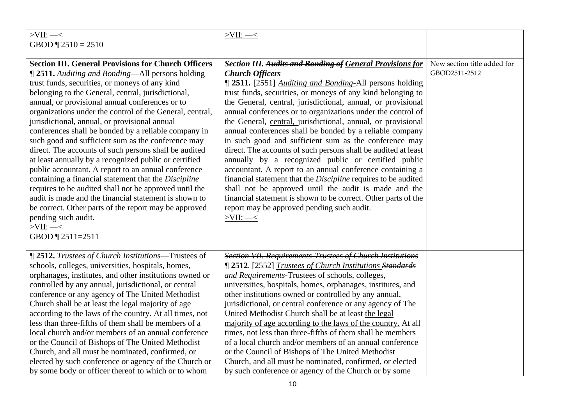| $>$ VII: $-$ <                                             | $>$ VII: $-\leq$                                                      |                             |
|------------------------------------------------------------|-----------------------------------------------------------------------|-----------------------------|
| GBOD $\P$ 2510 = 2510                                      |                                                                       |                             |
|                                                            |                                                                       |                             |
| <b>Section III. General Provisions for Church Officers</b> | <b>Section III. Audits and Bonding of General Provisions for</b>      | New section title added for |
| <b>12511.</b> Auditing and Bonding—All persons holding     | <b>Church Officers</b>                                                | GBOD2511-2512               |
| trust funds, securities, or moneys of any kind             | <b>1 2511.</b> [2551] <i>Auditing and Bonding-All persons holding</i> |                             |
| belonging to the General, central, jurisdictional,         | trust funds, securities, or moneys of any kind belonging to           |                             |
| annual, or provisional annual conferences or to            | the General, central, jurisdictional, annual, or provisional          |                             |
| organizations under the control of the General, central,   | annual conferences or to organizations under the control of           |                             |
| jurisdictional, annual, or provisional annual              | the General, central, jurisdictional, annual, or provisional          |                             |
| conferences shall be bonded by a reliable company in       | annual conferences shall be bonded by a reliable company              |                             |
| such good and sufficient sum as the conference may         | in such good and sufficient sum as the conference may                 |                             |
| direct. The accounts of such persons shall be audited      | direct. The accounts of such persons shall be audited at least        |                             |
| at least annually by a recognized public or certified      | annually by a recognized public or certified public                   |                             |
| public accountant. A report to an annual conference        | accountant. A report to an annual conference containing a             |                             |
| containing a financial statement that the Discipline       | financial statement that the Discipline requires to be audited        |                             |
| requires to be audited shall not be approved until the     | shall not be approved until the audit is made and the                 |                             |
| audit is made and the financial statement is shown to      | financial statement is shown to be correct. Other parts of the        |                             |
| be correct. Other parts of the report may be approved      | report may be approved pending such audit.                            |                             |
| pending such audit.                                        | $>$ VII: $-$ <                                                        |                             |
| $>$ VII: $-$ <                                             |                                                                       |                             |
| GBOD 12511=2511                                            |                                                                       |                             |
| <b>[2512.</b> Trustees of Church Institutions—Trustees of  | <b>Section VII. Requirements Trustees of Church Institutions</b>      |                             |
| schools, colleges, universities, hospitals, homes,         | <b>[2512.</b> [2552] <i>Trustees of Church Institutions Standards</i> |                             |
| orphanages, institutes, and other institutions owned or    | and Requirements-Trustees of schools, colleges,                       |                             |
| controlled by any annual, jurisdictional, or central       | universities, hospitals, homes, orphanages, institutes, and           |                             |
| conference or any agency of The United Methodist           | other institutions owned or controlled by any annual,                 |                             |
| Church shall be at least the legal majority of age         | jurisdictional, or central conference or any agency of The            |                             |
| according to the laws of the country. At all times, not    | United Methodist Church shall be at least the legal                   |                             |
| less than three-fifths of them shall be members of a       | majority of age according to the laws of the country. At all          |                             |
| local church and/or members of an annual conference        | times, not less than three-fifths of them shall be members            |                             |
| or the Council of Bishops of The United Methodist          | of a local church and/or members of an annual conference              |                             |
| Church, and all must be nominated, confirmed, or           | or the Council of Bishops of The United Methodist                     |                             |
| elected by such conference or agency of the Church or      | Church, and all must be nominated, confirmed, or elected              |                             |
| by some body or officer thereof to which or to whom        | by such conference or agency of the Church or by some                 |                             |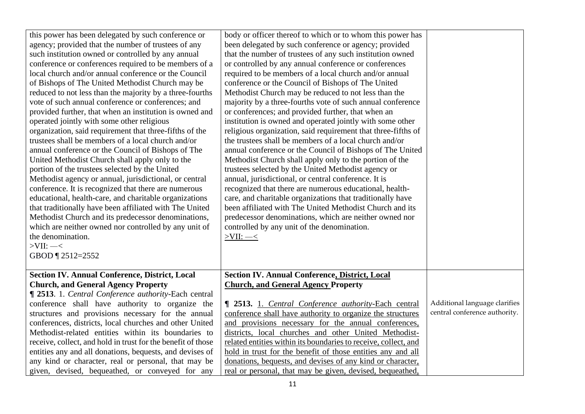| this power has been delegated by such conference or          | body or officer thereof to which or to whom this power has      |                               |
|--------------------------------------------------------------|-----------------------------------------------------------------|-------------------------------|
| agency; provided that the number of trustees of any          | been delegated by such conference or agency; provided           |                               |
| such institution owned or controlled by any annual           | that the number of trustees of any such institution owned       |                               |
| conference or conferences required to be members of a        | or controlled by any annual conference or conferences           |                               |
| local church and/or annual conference or the Council         | required to be members of a local church and/or annual          |                               |
| of Bishops of The United Methodist Church may be             | conference or the Council of Bishops of The United              |                               |
| reduced to not less than the majority by a three-fourths     | Methodist Church may be reduced to not less than the            |                               |
| vote of such annual conference or conferences; and           | majority by a three-fourths vote of such annual conference      |                               |
| provided further, that when an institution is owned and      | or conferences; and provided further, that when an              |                               |
| operated jointly with some other religious                   | institution is owned and operated jointly with some other       |                               |
| organization, said requirement that three-fifths of the      | religious organization, said requirement that three-fifths of   |                               |
| trustees shall be members of a local church and/or           | the trustees shall be members of a local church and/or          |                               |
| annual conference or the Council of Bishops of The           | annual conference or the Council of Bishops of The United       |                               |
| United Methodist Church shall apply only to the              | Methodist Church shall apply only to the portion of the         |                               |
| portion of the trustees selected by the United               | trustees selected by the United Methodist agency or             |                               |
| Methodist agency or annual, jurisdictional, or central       | annual, jurisdictional, or central conference. It is            |                               |
| conference. It is recognized that there are numerous         | recognized that there are numerous educational, health-         |                               |
| educational, health-care, and charitable organizations       | care, and charitable organizations that traditionally have      |                               |
| that traditionally have been affiliated with The United      | been affiliated with The United Methodist Church and its        |                               |
| Methodist Church and its predecessor denominations,          | predecessor denominations, which are neither owned nor          |                               |
| which are neither owned nor controlled by any unit of        | controlled by any unit of the denomination.                     |                               |
| the denomination.                                            | $>$ VII: $-$ <                                                  |                               |
| $>$ VII: $-$ <                                               |                                                                 |                               |
| GBOD 12512=2552                                              |                                                                 |                               |
|                                                              |                                                                 |                               |
| <b>Section IV. Annual Conference, District, Local</b>        | <b>Section IV. Annual Conference, District, Local</b>           |                               |
| <b>Church, and General Agency Property</b>                   | <b>Church, and General Agency Property</b>                      |                               |
| <b>12513.</b> 1. Central Conference authority-Each central   |                                                                 |                               |
| conference shall have authority to organize the              | <b>1</b> 2513. 1. Central Conference authority-Each central     | Additional language clarifies |
| structures and provisions necessary for the annual           | conference shall have authority to organize the structures      | central conference authority. |
| conferences, districts, local churches and other United      | and provisions necessary for the annual conferences,            |                               |
| Methodist-related entities within its boundaries to          | districts, local churches and other United Methodist-           |                               |
| receive, collect, and hold in trust for the benefit of those | related entities within its boundaries to receive, collect, and |                               |
| entities any and all donations, bequests, and devises of     | hold in trust for the benefit of those entities any and all     |                               |
| any kind or character, real or personal, that may be         | donations, bequests, and devises of any kind or character,      |                               |
| given, devised, bequeathed, or conveyed for any              | real or personal, that may be given, devised, bequeathed,       |                               |